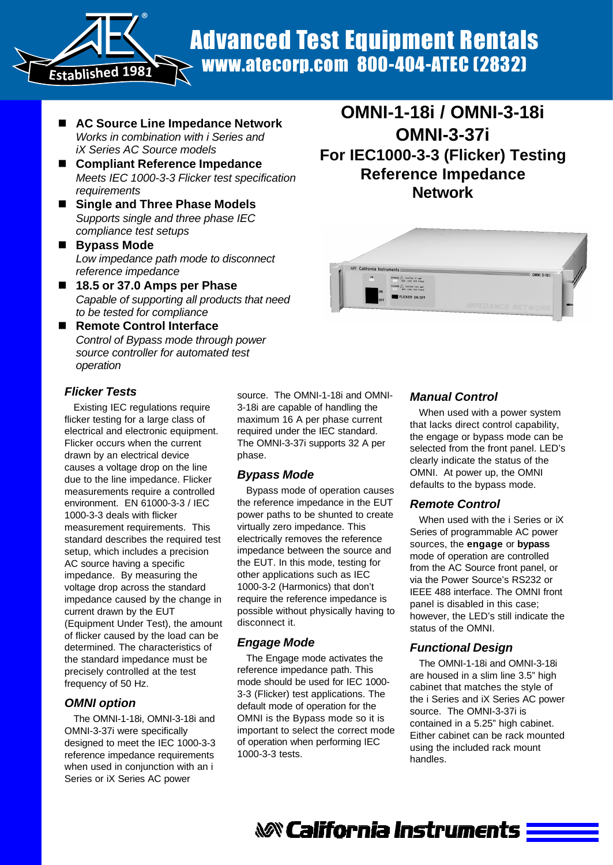Advanced Test Equipment Rentals www.atecorp.com 800-404-ATEC (2832)

■ AC Source Line Impedance Network *Works in combination with i Series and iX Series AC Source models*

®

**Established <sup>1</sup>981**

- Compliant Reference Impedance *Meets IEC 1000-3-3 Flicker test specification requirements*
- Single and Three Phase Models *Supports single and three phase IEC compliance test setups*
- Bypass Mode *Low impedance path mode to disconnect reference impedance*
- 18.5 or 37.0 Amps per Phase *Capable of supporting all products that need to be tested for compliance*
- Remote Control Interface *Control of Bypass mode through power source controller for automated test operation*

### *Flicker Tests*

Existing IEC regulations require flicker testing for a large class of electrical and electronic equipment. Flicker occurs when the current drawn by an electrical device causes a voltage drop on the line due to the line impedance. Flicker measurements require a controlled environment. EN 61000-3-3 / IEC 1000-3-3 deals with flicker measurement requirements. This standard describes the required test setup, which includes a precision AC source having a specific impedance. By measuring the voltage drop across the standard impedance caused by the change in current drawn by the EUT (Equipment Under Test), the amount of flicker caused by the load can be determined. The characteristics of the standard impedance must be precisely controlled at the test frequency of 50 Hz.

### *OMNI option*

The OMNI-1-18i, OMNI-3-18i and OMNI-3-37i were specifically designed to meet the IEC 1000-3-3 reference impedance requirements when used in conjunction with an i Series or iX Series AC power

source. The OMNI-1-18i and OMNI-3-18i are capable of handling the maximum 16 A per phase current required under the IEC standard. The OMNI-3-37i supports 32 A per phase.

### *Bypass Mode*

Bypass mode of operation causes the reference impedance in the EUT power paths to be shunted to create virtually zero impedance. This electrically removes the reference impedance between the source and the EUT. In this mode, testing for other applications such as IEC 1000-3-2 (Harmonics) that don't require the reference impedance is possible without physically having to disconnect it.

### *Engage Mode*

The Engage mode activates the reference impedance path. This mode should be used for IEC 1000- 3-3 (Flicker) test applications. The default mode of operation for the OMNI is the Bypass mode so it is important to select the correct mode of operation when performing IEC 1000-3-3 tests.

PASS A CAUTON 37 AMP CHUTION: 18.5 AM FLICKER ON/OF

**OMNI-1-18i / OMNI-3-18i**

**OMNI-3-37i**

**For IEC1000-3-3 (Flicker) Testing Reference Impedance Network**

### *Manual Control*

When used with a power system that lacks direct control capability, the engage or bypass mode can be selected from the front panel. LED's clearly indicate the status of the OMNI. At power up, the OMNI defaults to the bypass mode.

### *Remote Control*

When used with the i Series or iX Series of programmable AC power sources, the **engage** or **bypass** mode of operation are controlled from the AC Source front panel, or via the Power Source's RS232 or IEEE 488 interface. The OMNI front panel is disabled in this case; however, the LED's still indicate the status of the OMNI.

### *Functional Design*

The OMNI-1-18i and OMNI-3-18i are housed in a slim line 3.5" high cabinet that matches the style of the i Series and iX Series AC power source. The OMNI-3-37i is contained in a 5.25" high cabinet. Either cabinet can be rack mounted using the included rack mount handles.

**&&&\*** California Instruments **==**